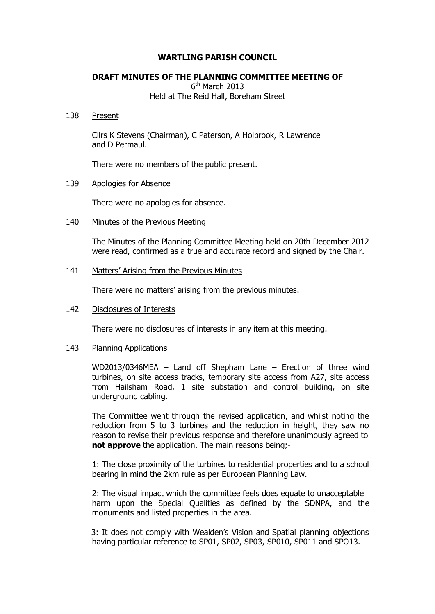## **WARTLING PARISH COUNCIL**

# **DRAFT MINUTES OF THE PLANNING COMMITTEE MEETING OF**

6<sup>th</sup> March 2013

Held at The Reid Hall, Boreham Street

#### 138 Present

Cllrs K Stevens (Chairman), C Paterson, A Holbrook, R Lawrence and D Permaul.

There were no members of the public present.

# 139 Apologies for Absence

There were no apologies for absence.

## 140 Minutes of the Previous Meeting

The Minutes of the Planning Committee Meeting held on 20th December 2012 were read, confirmed as a true and accurate record and signed by the Chair.

# 141 Matters' Arising from the Previous Minutes

There were no matters' arising from the previous minutes.

### 142 Disclosures of Interests

There were no disclosures of interests in any item at this meeting.

## 143 Planning Applications

WD2013/0346MEA – Land off Shepham Lane – Erection of three wind turbines, on site access tracks, temporary site access from A27, site access from Hailsham Road, 1 site substation and control building, on site underground cabling.

The Committee went through the revised application, and whilst noting the reduction from 5 to 3 turbines and the reduction in height, they saw no reason to revise their previous response and therefore unanimously agreed to **not approve** the application. The main reasons being;-

1: The close proximity of the turbines to residential properties and to a school bearing in mind the 2km rule as per European Planning Law.

2: The visual impact which the committee feels does equate to unacceptable harm upon the Special Qualities as defined by the SDNPA, and the monuments and listed properties in the area.

 3: It does not comply with Wealden's Vision and Spatial planning objections having particular reference to SP01, SP02, SP03, SP010, SP011 and SPO13.